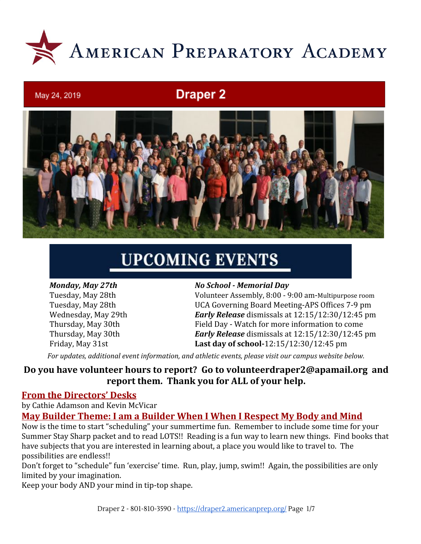

# **Draper 2**



# **UPCOMING EVENTS**

May 24, 2019

#### *Monday, May 27th No School - Memorial Day*

Tuesday, May 28th Volunteer Assembly, 8:00 - 9:00 am-Multipurpose room Tuesday, May 28th UCA Governing Board Meeting-APS Offices 7-9 pm Wednesday, May 29th *Early Release* dismissals at 12:15/12:30/12:45 pm Thursday, May 30th Field Day - Watch for more information to come Thursday, May 30th *Early Release* dismissals at 12:15/12:30/12:45 pm Friday, May 31st **Last day of school-**12:15/12:30/12:45 pm

*For updates, additional event information, and athletic events, please visit our campus website below.*

### **Do you have volunteer hours to report? Go to [volunteerdraper2@apamail.org](mailto:volunteerdraper2@apamail.org) and report them. Thank you for ALL of your help.**

#### **From the Directors' Desks**

by Cathie Adamson and Kevin McVicar

#### **May Builder Theme: I am a Builder When I When I Respect My Body and Mind**

Now is the time to start "scheduling" your summertime fun. Remember to include some time for your Summer Stay Sharp packet and to read LOTS!! Reading is a fun way to learn new things. Find books that have subjects that you are interested in learning about, a place you would like to travel to. The possibilities are endless!!

Don't forget to "schedule" fun 'exercise' time. Run, play, jump, swim!! Again, the possibilities are only limited by your imagination.

Keep your body AND your mind in tip-top shape.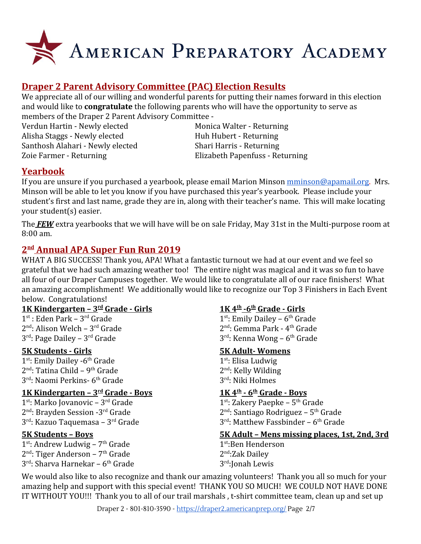

# **Draper 2 Parent Advisory Committee (PAC) Election Results**

We appreciate all of our willing and wonderful parents for putting their names forward in this election and would like to **congratulate** the following parents who will have the opportunity to serve as members of the Draper 2 Parent Advisory Committee -

Verdun Hartin - Newly elected Monica Walter - Returning Alisha Staggs - Newly elected Huh Hubert - Returning Santhosh Alahari - Newly elected Shari Harris - Returning Zoie Farmer - Returning Elizabeth Papenfuss - Returning

#### **Yearbook**

If you are unsure if you purchased a yearbook, please email Marion Minson [mminson@apamail.org.](mailto:mminson@apamail.org) Mrs. Minson will be able to let you know if you have purchased this year's yearbook. Please include your student's first and last name, grade they are in, along with their teacher's name. This will make locating your student(s) easier.

The *FEW* extra yearbooks that we will have will be on sale Friday, May 31st in the Multi-purpose room at 8:00 am.

#### **2 nd Annual APA Super Fun Run 2019**

WHAT A BIG SUCCESS! Thank you, APA! What a fantastic turnout we had at our event and we feel so grateful that we had such amazing weather too! The entire night was magical and it was so fun to have all four of our Draper Campuses together. We would like to congratulate all of our race finishers! What an amazing accomplishment! We additionally would like to recognize our Top 3 Finishers in Each Event below. Congratulations!

#### **1K Kindergarten – 3rd Grade - Girls 1K 4th**

 $1^{\text{st}}$ : Eden Park –  $3^{\text{rd}}$  Grade  $1^{\text{st}}$ 2<sup>nd</sup>: Alison Welch – 3<sup>rd</sup> Grade 2<sup>r</sup>  $3<sup>rd</sup>$ : Page Dailey –  $3<sup>rd</sup>$  Grade  $3<sup>rd</sup>$ 

1<sup>st</sup>: Emily Dailey -6<sup>th</sup> Grade 1<sup>s</sup>  $2<sup>nd</sup>$ : Tatina Child – 9<sup>th</sup> Grade  $2<sup>r</sup>$ 3<sup>rd</sup>: Naomi Perkins- 6<sup>th</sup> Grade 3<sup>r</sup>

#### **1K Kindergarten – 3rd Grade - Boys 1K 4th**

 $1^{\text{st}}$ : Marko Jovanovic –  $3^{\text{rd}}$  Grade  $1^{\text{st}}$ 2<sup>nd</sup>: Brayden Session -3<sup>rd</sup> Grade 2<sup>r</sup> 3 rd : Kazuo Taquemasa – 3rd Grade 3

1<sup>st</sup>: Andrew Ludwig – 7<sup>th</sup> Grade 1<sup>s</sup> 2<sup>nd</sup>: Tiger Anderson – 7<sup>th</sup> Grade 2<sup>n</sup>  $3<sup>rd</sup>$ : Sharva Harnekar – 6<sup>th</sup> Grade  $3<sup>r</sup>$ 

#### **-6th Grade - Girls**

<sup>st</sup>: Emily Dailey - 6<sup>th</sup> Grade <sup>nd</sup>: Gemma Park - 4<sup>th</sup> Grade <sup>rd</sup>: Kenna Wong – 6<sup>th</sup> Grade

#### **5K Students - Girls 5K Adult- Womens**

<sup>st</sup>: Elisa Ludwig <sup>nd</sup>: Kelly Wilding <sup>rd</sup>: Niki Holmes

#### **- 6th Grade - Boys**

<sup>st</sup>: Zakery Paepke – 5<sup>th</sup> Grade <sup>nd</sup>: Santiago Rodriguez – 5<sup>th</sup> Grade <sup>rd</sup>: Matthew Fassbinder – 6<sup>th</sup> Grade

#### **5K Students – Boys 5K Adult – Mens missing places, 1st, 2nd, 3rd**

st :Ben Henderson <sup>nd</sup>:Zak Dailey <sup>rd</sup>:Jonah Lewis

We would also like to also recognize and thank our amazing volunteers! Thank you all so much for your amazing help and support with this special event! THANK YOU SO MUCH! WE COULD NOT HAVE DONE IT WITHOUT YOU!!! Thank you to all of our trail marshals , t-shirt committee team, clean up and set up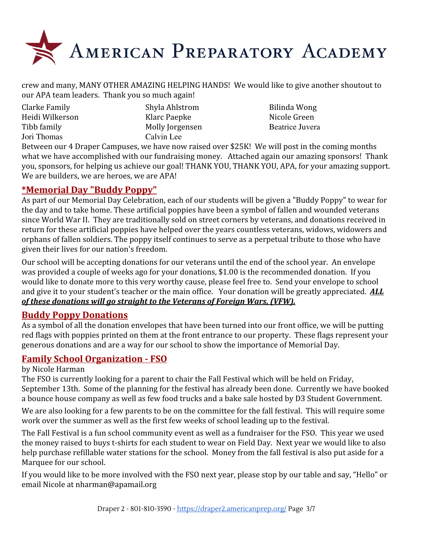

crew and many, MANY OTHER AMAZING HELPING HANDS! We would like to give another shoutout to our APA team leaders. Thank you so much again!

| Clarke Family   |  |
|-----------------|--|
| Heidi Wilkerson |  |
| Tibb family     |  |
| Jori Thomas     |  |

Shyla Ahlstrom Bilinda Wong Klarc Paepke Nicole Green Molly Jorgensen Beatrice Juvera Calvin Lee

Between our 4 Draper Campuses, we have now raised over \$25K! We will post in the coming months what we have accomplished with our fundraising money. Attached again our amazing sponsors! Thank you, sponsors, for helping us achieve our goal! THANK YOU, THANK YOU, APA, for your amazing support. We are builders, we are heroes, we are APA!

# **\*Memorial Day "Buddy Poppy"**

As part of our Memorial Day Celebration, each of our students will be given a "Buddy Poppy" to wear for the day and to take home. These artificial poppies have been a symbol of fallen and wounded veterans since World War II. They are traditionally sold on street corners by veterans, and donations received in return for these artificial poppies have helped over the years countless veterans, widows, widowers and orphans of fallen soldiers. The poppy itself continues to serve as a perpetual tribute to those who have given their lives for our nation's freedom.

Our school will be accepting donations for our veterans until the end of the school year. An envelope was provided a couple of weeks ago for your donations, \$1.00 is the recommended donation. If you would like to donate more to this very worthy cause, please feel free to. Send your envelope to school and give it to your student's teacher or the main office. Your donation will be greatly appreciated. *ALL of these donations will go straight to the Veterans of Foreign Wars, (VFW).*

#### **Buddy Poppy Donations**

As a symbol of all the donation envelopes that have been turned into our front office, we will be putting red flags with poppies printed on them at the front entrance to our property. These flags represent your generous donations and are a way for our school to show the importance of Memorial Day.

# **Family School Organization - FSO**

#### by Nicole Harman

The FSO is currently looking for a parent to chair the Fall Festival which will be held on Friday, September 13th. Some of the planning for the festival has already been done. Currently we have booked a bounce house company as well as few food trucks and a bake sale hosted by D3 Student Government.

We are also looking for a few parents to be on the committee for the fall festival. This will require some work over the summer as well as the first few weeks of school leading up to the festival.

The Fall Festival is a fun school community event as well as a fundraiser for the FSO. This year we used the money raised to buys t-shirts for each student to wear on Field Day. Next year we would like to also help purchase refillable water stations for the school. Money from the fall festival is also put aside for a Marquee for our school.

If you would like to be more involved with the FSO next year, please stop by our table and say, "Hello" or email Nicole at nharman@apamail.org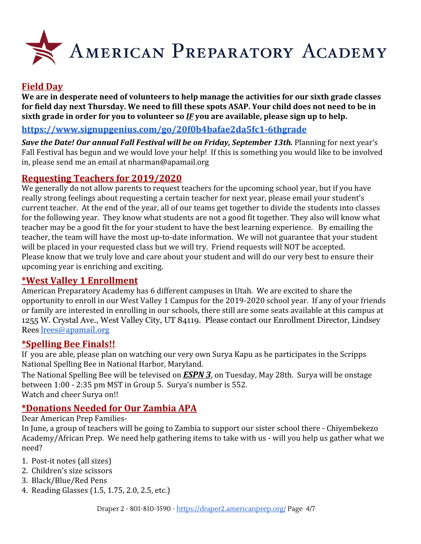

# **Field Day**

**We are in desperate need of volunteers to help manage the activities for our sixth grade classes for field day next Thursday. We need to fill these spots ASAP. Your child does not need to be in sixth grade in order for you to volunteer so** *IF* **you are available, please sign up to help.**

#### **<https://www.signupgenius.com/go/20f0b4bafae2da5fc1-6thgrade>**

**Save the Date! Our annual Fall Festival will be on Friday, September 13th.** Planning for next year's Fall Festival has begun and we would love your help! If this is something you would like to be involved in, please send me an email at nharman@apamail.org

### **Requesting Teachers for 2019/2020**

We generally do not allow parents to request teachers for the upcoming school year, but if you have really strong feelings about requesting a certain teacher for next year, please email your student's current teacher. At the end of the year, all of our teams get together to divide the students into classes for the following year. They know what students are not a good fit together. They also will know what teacher may be a good fit the for your student to have the best learning experience. By emailing the teacher, the team will have the most up-to-date information. We will not guarantee that your student will be placed in your requested class but we will try. Friend requests will NOT be accepted. Please know that we truly love and care about your student and will do our very best to ensure their upcoming year is enriching and exciting.

#### **\*West Valley 1 Enrollment**

American Preparatory Academy has 6 different campuses in Utah. We are excited to share the opportunity to enroll in our West Valley 1 Campus for the 2019-2020 school year. If any of your friends or family are interested in enrolling in our schools, there still are some seats available at this campus at 1255 W. Crystal Ave., West Valley City, UT 84119. Please contact our Enrollment Director, Lindsey Rees [lrees@apamail.org](mailto:lrees@apamail.org)

#### **\*Spelling Bee Finals!!**

If you are able, please plan on watching our very own Surya Kapu as he participates in the Scripps National Spelling Bee in National Harbor, Maryland.

The National Spelling Bee will be televised on *ESPN 3*, on Tuesday, May 28th. Surya will be onstage between 1:00 - 2:35 pm MST in Group 5. Surya's number is 552. Watch and cheer Surya on!!

#### **\*Donations Needed for Our Zambia APA**

Dear American Prep Families-

In June, a group of teachers will be going to Zambia to support our sister school there - Chiyembekezo Academy/African Prep. We need help gathering items to take with us - will you help us gather what we need?

- 1. Post-it notes (all sizes)
- 2. Children's size scissors
- 3. Black/Blue/Red Pens
- 4. Reading Glasses (1.5, 1.75, 2.0, 2.5, etc.)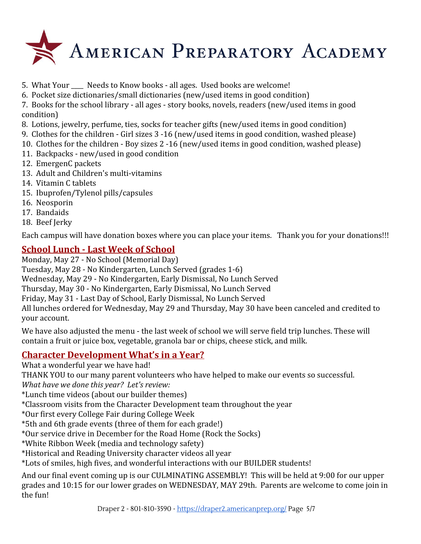

- 5. What Your Needs to Know books all ages. Used books are welcome!
- 6. Pocket size dictionaries/small dictionaries (new/used items in good condition)

7. Books for the school library - all ages - story books, novels, readers (new/used items in good condition)

- 8. Lotions, jewelry, perfume, ties, socks for teacher gifts (new/used items in good condition)
- 9. Clothes for the children Girl sizes 3 -16 (new/used items in good condition, washed please)
- 10. Clothes for the children Boy sizes 2 -16 (new/used items in good condition, washed please)
- 11. Backpacks new/used in good condition
- 12. EmergenC packets
- 13. Adult and Children's multi-vitamins
- 14. Vitamin C tablets
- 15. Ibuprofen/Tylenol pills/capsules
- 16. Neosporin
- 17. Bandaids
- 18. Beef Jerky

Each campus will have donation boxes where you can place your items. Thank you for your donations!!!

# **School Lunch - Last Week of School**

Monday, May 27 - No School (Memorial Day)

Tuesday, May 28 - No Kindergarten, Lunch Served (grades 1-6)

Wednesday, May 29 - No Kindergarten, Early Dismissal, No Lunch Served

Thursday, May 30 - No Kindergarten, Early Dismissal, No Lunch Served

Friday, May 31 - Last Day of School, Early Dismissal, No Lunch Served

All lunches ordered for Wednesday, May 29 and Thursday, May 30 have been canceled and credited to your account.

We have also adjusted the menu - the last week of school we will serve field trip lunches. These will contain a fruit or juice box, vegetable, granola bar or chips, cheese stick, and milk.

# **Character Development What's in a Year?**

What a wonderful year we have had!

THANK YOU to our many parent volunteers who have helped to make our events so successful.

*What have we done this year? Let's review:*

\*Lunch time videos (about our builder themes)

\*Classroom visits from the Character Development team throughout the year

\*Our first every College Fair during College Week

\*5th and 6th grade events (three of them for each grade!)

\*Our service drive in December for the Road Home (Rock the Socks)

\*White Ribbon Week (media and technology safety)

\*Historical and Reading University character videos all year

\*Lots of smiles, high fives, and wonderful interactions with our BUILDER students!

And our final event coming up is our CULMINATING ASSEMBLY! This will be held at 9:00 for our upper grades and 10:15 for our lower grades on WEDNESDAY, MAY 29th. Parents are welcome to come join in the fun!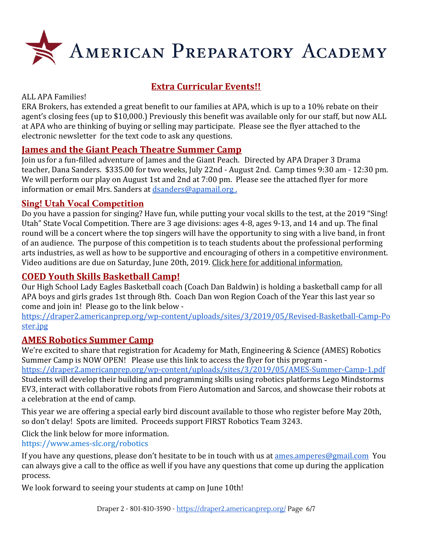

# **Extra Curricular Events!!**

#### ALL APA Families!

ERA Brokers, has extended a great benefit to our families at APA, which is up to a 10% rebate on their agent's closing fees (up to \$10,000.) Previously this benefit was available only for our staff, but now ALL at APA who are thinking of buying or selling may participate. Please see the flyer attached to the electronic newsletter for the text code to ask any questions.

### **James and the Giant Peach Theatre Summer Camp**

Join us for a fun-filled adventure of James and the Giant Peach. Directed by APA Draper 3 Drama teacher, Dana Sanders. \$335.00 for two weeks, July 22nd - August 2nd. Camp times 9:30 am - 12:30 pm. We will perform our play on August 1st and 2nd at 7:00 pm. Please see the attached flyer for more information or email Mrs. Sanders at [dsanders@apamail.org .](mailto:dsanders@apamail.org)

#### **Sing! Utah Vocal Competition**

Do you have a passion for singing? Have fun, while putting your vocal skills to the test, at the 2019 "Sing! Utah" State Vocal Competition. There are 3 age divisions: ages 4-8, ages 9-13, and 14 and up. The final round will be a concert where the top singers will have the opportunity to sing with a live band, in front of an audience. The purpose of this competition is to teach students about the professional performing arts industries, as well as how to be supportive and encouraging of others in a competitive environment. Video auditions are due on Saturday, June 20th, 2019. [Click here for additional information.](https://draper3.americanprep.org/wp-content/uploads/sites/276/2019/04/Sing-Utah-2019-Vocal-Comp-Poster.jpg)

# **COED Youth Skills Basketball Camp!**

Our High School Lady Eagles Basketball coach (Coach Dan Baldwin) is holding a basketball camp for all APA boys and girls grades 1st through 8th. Coach Dan won Region Coach of the Year this last year so come and join in! Please go to the link below -

[https://draper2.americanprep.org/wp-content/uploads/sites/3/2019/05/Revised-Basketball-Camp-Po](https://draper2.americanprep.org/wp-content/uploads/sites/3/2019/05/Revised-Basketball-Camp-Poster.jpg) [ster.jpg](https://draper2.americanprep.org/wp-content/uploads/sites/3/2019/05/Revised-Basketball-Camp-Poster.jpg)

#### **AMES Robotics Summer Camp**

We're excited to share that registration for Academy for Math, Engineering & Science (AMES) Robotics Summer Camp is NOW OPEN! Please use this link to access the flyer for this program -

<https://draper2.americanprep.org/wp-content/uploads/sites/3/2019/05/AMES-Summer-Camp-1.pdf> Students will develop their building and programming skills using robotics platforms Lego Mindstorms EV3, interact with collaborative robots from Fiero Automation and Sarcos, and showcase their robots at a celebration at the end of camp.

This year we are offering a special early bird discount available to those who register before May 20th, so don't delay! Spots are limited. Proceeds support FIRST Robotics Team 3243.

Click the link below for more information.

[https://www.ames-slc.org/robotics](https://www.ames.slc-org/robotics)

If you have any questions, please don't hesitate to be in touch with us at ames amperes@gmail.com You can always give a call to the office as well if you have any questions that come up during the application process.

We look forward to seeing your students at camp on June 10th!